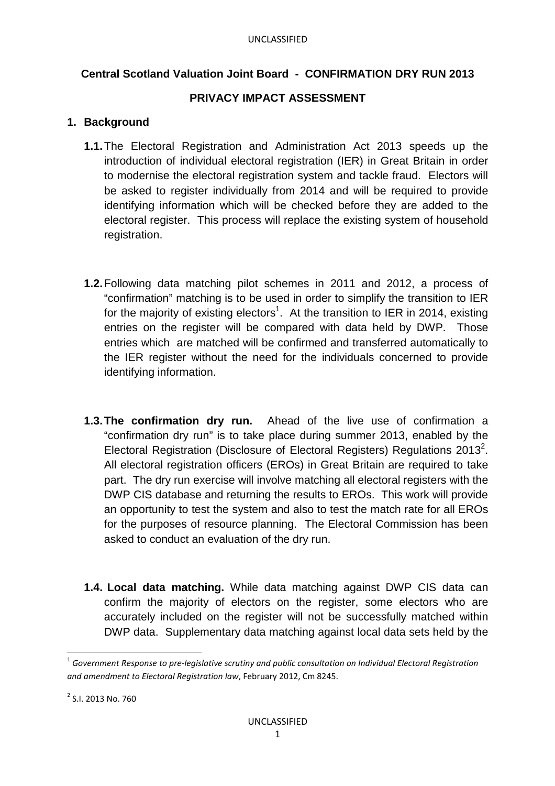# **Central Scotland Valuation Joint Board - CONFIRMATION DRY RUN 2013**

### **PRIVACY IMPACT ASSESSMENT**

### **1. Background**

- **1.1.** The Electoral Registration and Administration Act 2013 speeds up the introduction of individual electoral registration (IER) in Great Britain in order to modernise the electoral registration system and tackle fraud. Electors will be asked to register individually from 2014 and will be required to provide identifying information which will be checked before they are added to the electoral register. This process will replace the existing system of household registration.
- **1.2.** Following data matching pilot schemes in 2011 and 2012, a process of "confirmation" matching is to be used in order to simplify the transition to IER for the majority of existing electors<sup>1</sup>. At the transition to IER in 2014, existing entries on the register will be compared with data held by DWP. Those entries which are matched will be confirmed and transferred automatically to the IER register without the need for the individuals concerned to provide identifying information.
- **1.3. The confirmation dry run.** Ahead of the live use of confirmation a "confirmation dry run" is to take place during summer 2013, enabled by the Electoral Registration (Disclosure of Electoral Registers) Regulations 2013<sup>2</sup>. All electoral registration officers (EROs) in Great Britain are required to take part. The dry run exercise will involve matching all electoral registers with the DWP CIS database and returning the results to EROs. This work will provide an opportunity to test the system and also to test the match rate for all EROs for the purposes of resource planning. The Electoral Commission has been asked to conduct an evaluation of the dry run.
- **1.4. Local data matching.** While data matching against DWP CIS data can confirm the majority of electors on the register, some electors who are accurately included on the register will not be successfully matched within DWP data. Supplementary data matching against local data sets held by the

 $\overline{\phantom{0}}$ 

 $^{\rm 1}$  Government Response to pre-legislative scrutiny and public consultation on Individual Electoral Registration *and amendment to Electoral Registration law*, February 2012, Cm 8245.

<sup>&</sup>lt;sup>2</sup> S.I. 2013 No. 760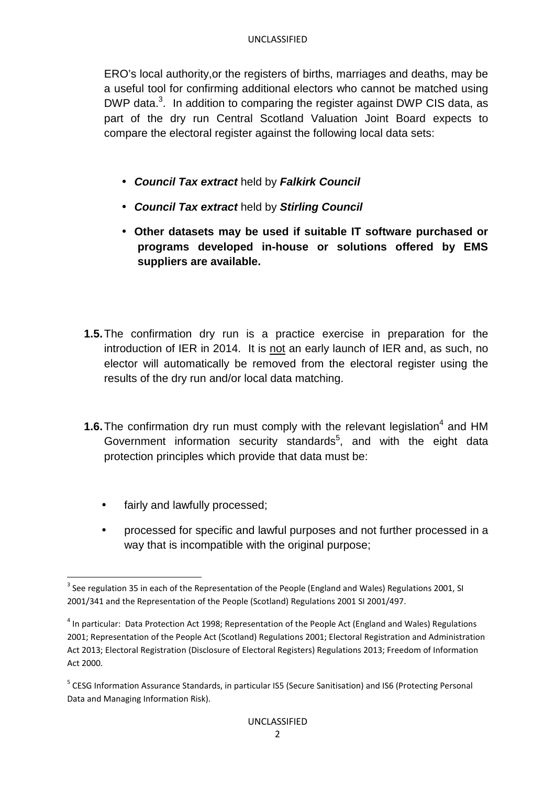#### UNCLASSIFIED

ERO's local authority,or the registers of births, marriages and deaths, may be a useful tool for confirming additional electors who cannot be matched using DWP data.<sup>3</sup>. In addition to comparing the register against DWP CIS data, as part of the dry run Central Scotland Valuation Joint Board expects to compare the electoral register against the following local data sets:

- **Council Tax extract** held by **Falkirk Council**
- **Council Tax extract** held by **Stirling Council**
- **Other datasets may be used if suitable IT software purchased or programs developed in-house or solutions offered by EMS suppliers are available.**
- **1.5.** The confirmation dry run is a practice exercise in preparation for the introduction of IER in 2014. It is not an early launch of IER and, as such, no elector will automatically be removed from the electoral register using the results of the dry run and/or local data matching.
- **1.6.** The confirmation dry run must comply with the relevant legislation<sup>4</sup> and HM Government information security standards<sup>5</sup>, and with the eight data protection principles which provide that data must be:
	- fairly and lawfully processed;

 $\overline{a}$ 

• processed for specific and lawful purposes and not further processed in a way that is incompatible with the original purpose;

 $^3$  See regulation 35 in each of the Representation of the People (England and Wales) Regulations 2001, SI 2001/341 and the Representation of the People (Scotland) Regulations 2001 SI 2001/497.

<sup>&</sup>lt;sup>4</sup> In particular: Data Protection Act 1998; Representation of the People Act (England and Wales) Regulations 2001; Representation of the People Act (Scotland) Regulations 2001; Electoral Registration and Administration Act 2013; Electoral Registration (Disclosure of Electoral Registers) Regulations 2013; Freedom of Information Act 2000.

<sup>&</sup>lt;sup>5</sup> CESG Information Assurance Standards, in particular IS5 (Secure Sanitisation) and IS6 (Protecting Personal Data and Managing Information Risk).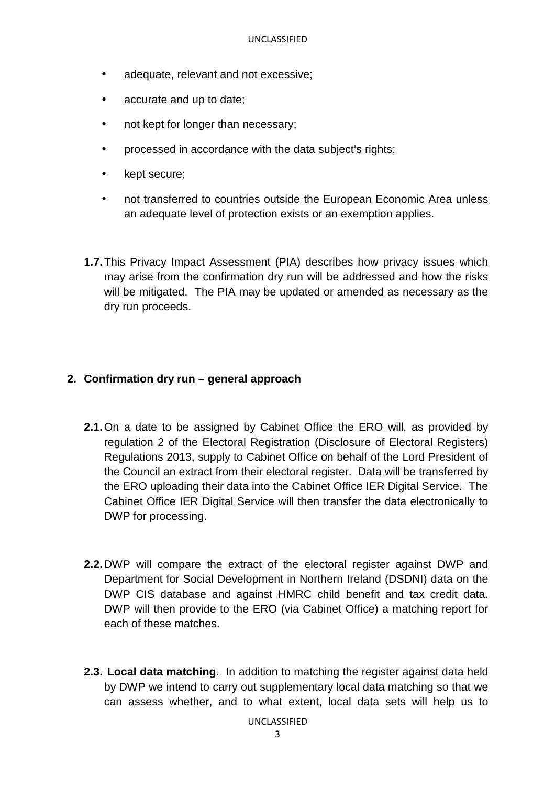- adequate, relevant and not excessive;
- accurate and up to date;
- not kept for longer than necessary;
- processed in accordance with the data subject's rights;
- kept secure;
- not transferred to countries outside the European Economic Area unless an adequate level of protection exists or an exemption applies.
- **1.7.** This Privacy Impact Assessment (PIA) describes how privacy issues which may arise from the confirmation dry run will be addressed and how the risks will be mitigated. The PIA may be updated or amended as necessary as the dry run proceeds.

### **2. Confirmation dry run – general approach**

- **2.1.** On a date to be assigned by Cabinet Office the ERO will, as provided by regulation 2 of the Electoral Registration (Disclosure of Electoral Registers) Regulations 2013, supply to Cabinet Office on behalf of the Lord President of the Council an extract from their electoral register. Data will be transferred by the ERO uploading their data into the Cabinet Office IER Digital Service. The Cabinet Office IER Digital Service will then transfer the data electronically to DWP for processing.
- **2.2.** DWP will compare the extract of the electoral register against DWP and Department for Social Development in Northern Ireland (DSDNI) data on the DWP CIS database and against HMRC child benefit and tax credit data. DWP will then provide to the ERO (via Cabinet Office) a matching report for each of these matches.
- **2.3. Local data matching.** In addition to matching the register against data held by DWP we intend to carry out supplementary local data matching so that we can assess whether, and to what extent, local data sets will help us to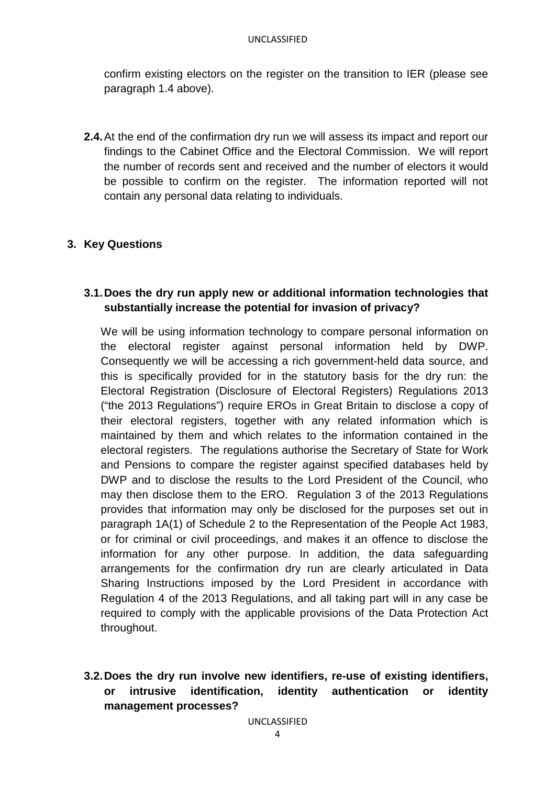confirm existing electors on the register on the transition to IER (please see paragraph 1.4 above).

**2.4.** At the end of the confirmation dry run we will assess its impact and report our findings to the Cabinet Office and the Electoral Commission. We will report the number of records sent and received and the number of electors it would be possible to confirm on the register. The information reported will not contain any personal data relating to individuals.

# **3. Key Questions**

### **3.1. Does the dry run apply new or additional information technologies that substantially increase the potential for invasion of privacy?**

We will be using information technology to compare personal information on the electoral register against personal information held by DWP. Consequently we will be accessing a rich government-held data source, and this is specifically provided for in the statutory basis for the dry run: the Electoral Registration (Disclosure of Electoral Registers) Regulations 2013 ("the 2013 Regulations") require EROs in Great Britain to disclose a copy of their electoral registers, together with any related information which is maintained by them and which relates to the information contained in the electoral registers. The regulations authorise the Secretary of State for Work and Pensions to compare the register against specified databases held by DWP and to disclose the results to the Lord President of the Council, who may then disclose them to the ERO. Regulation 3 of the 2013 Regulations provides that information may only be disclosed for the purposes set out in paragraph 1A(1) of Schedule 2 to the Representation of the People Act 1983, or for criminal or civil proceedings, and makes it an offence to disclose the information for any other purpose. In addition, the data safeguarding arrangements for the confirmation dry run are clearly articulated in Data Sharing Instructions imposed by the Lord President in accordance with Regulation 4 of the 2013 Regulations, and all taking part will in any case be required to comply with the applicable provisions of the Data Protection Act throughout.

**3.2. Does the dry run involve new identifiers, re-use of existing identifiers, or intrusive identification, identity authentication or identity management processes?**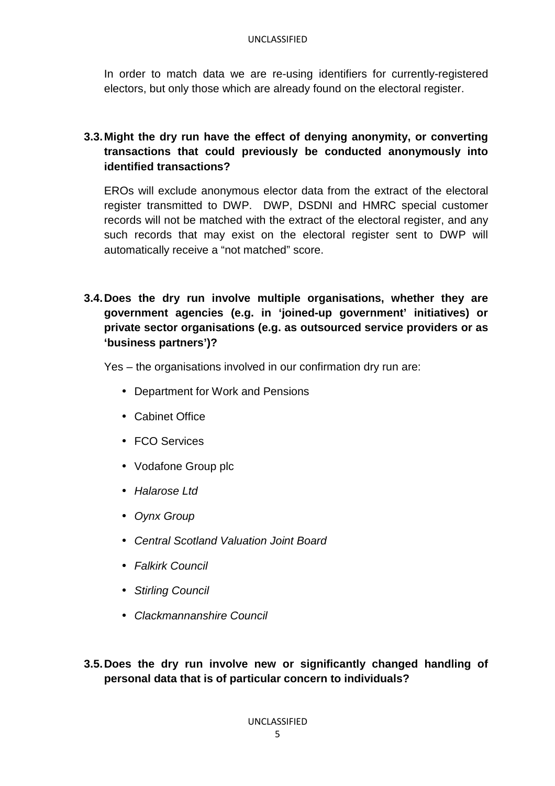#### UNCLASSIFIED

In order to match data we are re-using identifiers for currently-registered electors, but only those which are already found on the electoral register.

# **3.3. Might the dry run have the effect of denying anonymity, or converting transactions that could previously be conducted anonymously into identified transactions?**

EROs will exclude anonymous elector data from the extract of the electoral register transmitted to DWP. DWP, DSDNI and HMRC special customer records will not be matched with the extract of the electoral register, and any such records that may exist on the electoral register sent to DWP will automatically receive a "not matched" score.

**3.4. Does the dry run involve multiple organisations, whether they are government agencies (e.g. in 'joined-up government' initiatives) or private sector organisations (e.g. as outsourced service providers or as 'business partners')?**

Yes – the organisations involved in our confirmation dry run are:

- Department for Work and Pensions
- Cabinet Office
- FCO Services
- Vodafone Group plc
- Halarose Ltd
- Oynx Group
- Central Scotland Valuation Joint Board
- Falkirk Council
- Stirling Council
- Clackmannanshire Council

**3.5. Does the dry run involve new or significantly changed handling of personal data that is of particular concern to individuals?**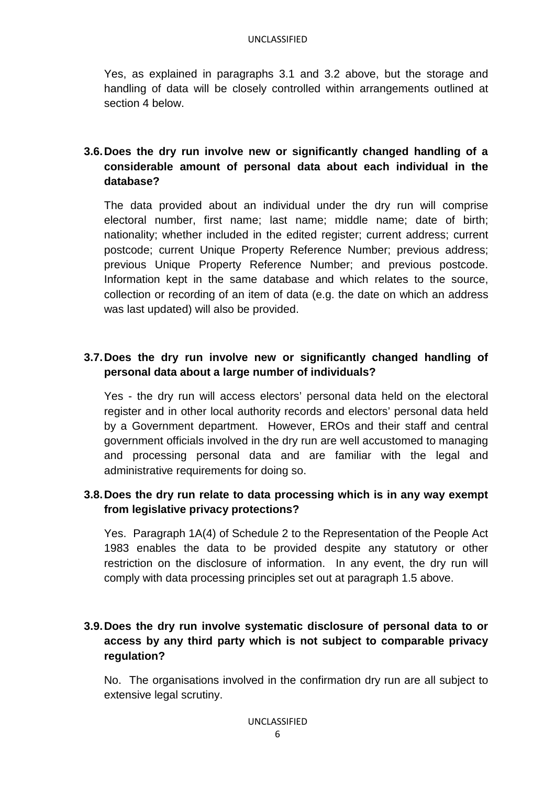#### UNCLASSIFIED

Yes, as explained in paragraphs 3.1 and 3.2 above, but the storage and handling of data will be closely controlled within arrangements outlined at section 4 below.

# **3.6. Does the dry run involve new or significantly changed handling of a considerable amount of personal data about each individual in the database?**

The data provided about an individual under the dry run will comprise electoral number, first name; last name; middle name; date of birth; nationality; whether included in the edited register; current address; current postcode; current Unique Property Reference Number; previous address; previous Unique Property Reference Number; and previous postcode. Information kept in the same database and which relates to the source, collection or recording of an item of data (e.g. the date on which an address was last updated) will also be provided.

# **3.7. Does the dry run involve new or significantly changed handling of personal data about a large number of individuals?**

Yes - the dry run will access electors' personal data held on the electoral register and in other local authority records and electors' personal data held by a Government department. However, EROs and their staff and central government officials involved in the dry run are well accustomed to managing and processing personal data and are familiar with the legal and administrative requirements for doing so.

# **3.8. Does the dry run relate to data processing which is in any way exempt from legislative privacy protections?**

Yes. Paragraph 1A(4) of Schedule 2 to the Representation of the People Act 1983 enables the data to be provided despite any statutory or other restriction on the disclosure of information. In any event, the dry run will comply with data processing principles set out at paragraph 1.5 above.

# **3.9. Does the dry run involve systematic disclosure of personal data to or access by any third party which is not subject to comparable privacy regulation?**

No. The organisations involved in the confirmation dry run are all subject to extensive legal scrutiny.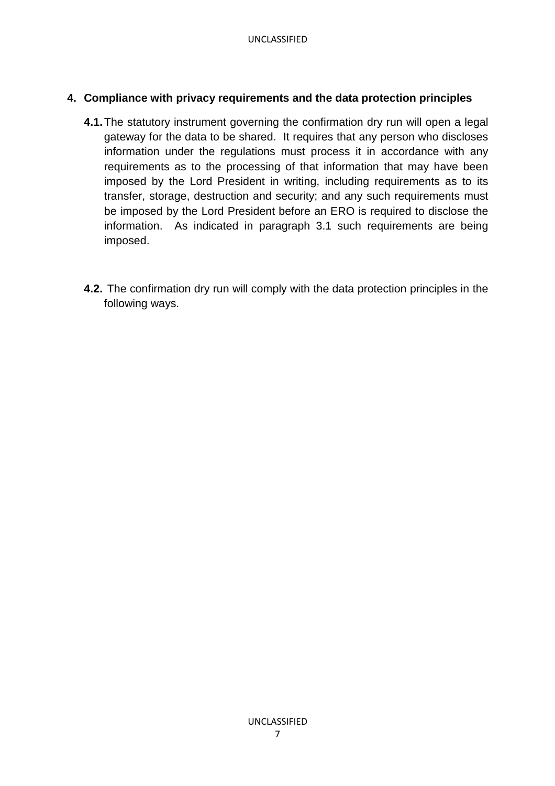### **4. Compliance with privacy requirements and the data protection principles**

- **4.1.** The statutory instrument governing the confirmation dry run will open a legal gateway for the data to be shared. It requires that any person who discloses information under the regulations must process it in accordance with any requirements as to the processing of that information that may have been imposed by the Lord President in writing, including requirements as to its transfer, storage, destruction and security; and any such requirements must be imposed by the Lord President before an ERO is required to disclose the information. As indicated in paragraph 3.1 such requirements are being imposed.
- **4.2.** The confirmation dry run will comply with the data protection principles in the following ways.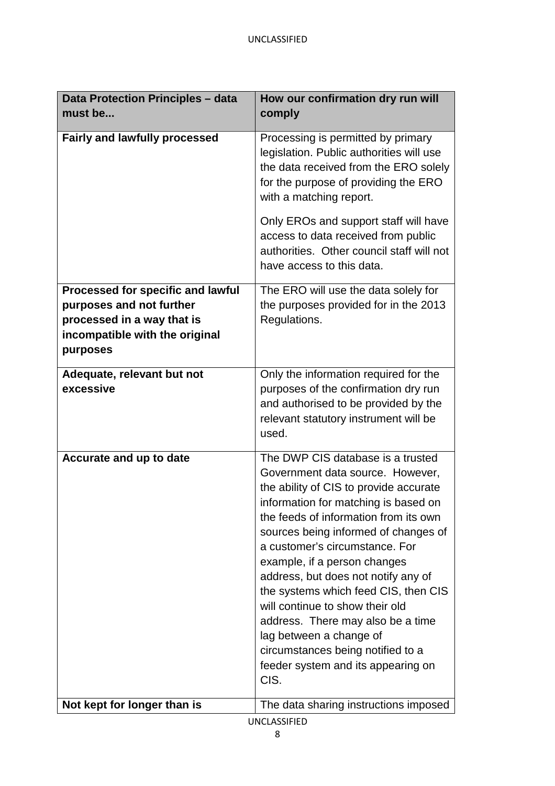| <b>Data Protection Principles - data</b>                                                                                                  | How our confirmation dry run will                                                                                                                                                                                                                                                                                                                                                                                                                                                                                                                                               |
|-------------------------------------------------------------------------------------------------------------------------------------------|---------------------------------------------------------------------------------------------------------------------------------------------------------------------------------------------------------------------------------------------------------------------------------------------------------------------------------------------------------------------------------------------------------------------------------------------------------------------------------------------------------------------------------------------------------------------------------|
| must be                                                                                                                                   | comply                                                                                                                                                                                                                                                                                                                                                                                                                                                                                                                                                                          |
| <b>Fairly and lawfully processed</b>                                                                                                      | Processing is permitted by primary<br>legislation. Public authorities will use<br>the data received from the ERO solely<br>for the purpose of providing the ERO<br>with a matching report.                                                                                                                                                                                                                                                                                                                                                                                      |
|                                                                                                                                           | Only EROs and support staff will have<br>access to data received from public<br>authorities. Other council staff will not<br>have access to this data.                                                                                                                                                                                                                                                                                                                                                                                                                          |
| Processed for specific and lawful<br>purposes and not further<br>processed in a way that is<br>incompatible with the original<br>purposes | The ERO will use the data solely for<br>the purposes provided for in the 2013<br>Regulations.                                                                                                                                                                                                                                                                                                                                                                                                                                                                                   |
| Adequate, relevant but not<br>excessive                                                                                                   | Only the information required for the<br>purposes of the confirmation dry run<br>and authorised to be provided by the<br>relevant statutory instrument will be<br>used.                                                                                                                                                                                                                                                                                                                                                                                                         |
| Accurate and up to date                                                                                                                   | The DWP CIS database is a trusted<br>Government data source. However,<br>the ability of CIS to provide accurate<br>information for matching is based on<br>the feeds of information from its own<br>sources being informed of changes of<br>a customer's circumstance. For<br>example, if a person changes<br>address, but does not notify any of<br>the systems which feed CIS, then CIS<br>will continue to show their old<br>address. There may also be a time<br>lag between a change of<br>circumstances being notified to a<br>feeder system and its appearing on<br>CIS. |
| Not kept for longer than is                                                                                                               | The data sharing instructions imposed                                                                                                                                                                                                                                                                                                                                                                                                                                                                                                                                           |
| <b>UNCLASSIFIED</b>                                                                                                                       |                                                                                                                                                                                                                                                                                                                                                                                                                                                                                                                                                                                 |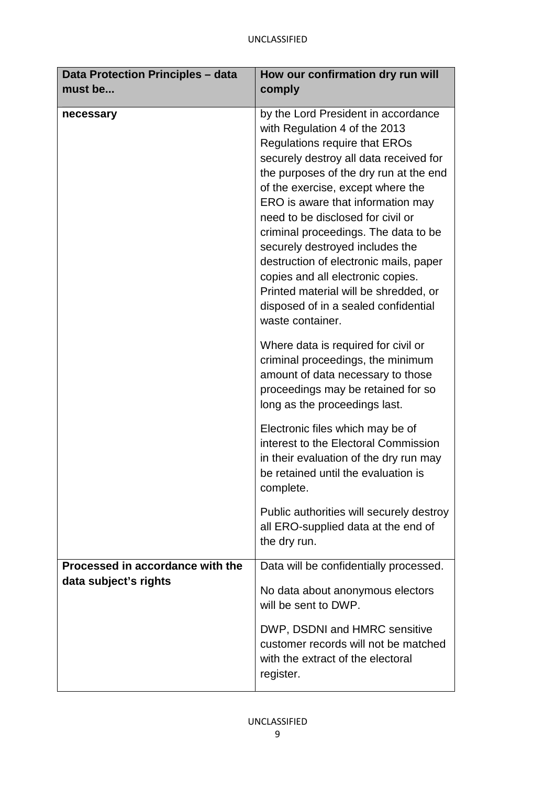| Data Protection Principles - data                         | How our confirmation dry run will                                                                                                                                                                                                                                                                                                                                                                                                                                                                                                                                              |
|-----------------------------------------------------------|--------------------------------------------------------------------------------------------------------------------------------------------------------------------------------------------------------------------------------------------------------------------------------------------------------------------------------------------------------------------------------------------------------------------------------------------------------------------------------------------------------------------------------------------------------------------------------|
| must be                                                   | comply                                                                                                                                                                                                                                                                                                                                                                                                                                                                                                                                                                         |
| necessary                                                 | by the Lord President in accordance<br>with Regulation 4 of the 2013<br><b>Regulations require that EROs</b><br>securely destroy all data received for<br>the purposes of the dry run at the end<br>of the exercise, except where the<br>ERO is aware that information may<br>need to be disclosed for civil or<br>criminal proceedings. The data to be<br>securely destroyed includes the<br>destruction of electronic mails, paper<br>copies and all electronic copies.<br>Printed material will be shredded, or<br>disposed of in a sealed confidential<br>waste container. |
|                                                           | Where data is required for civil or<br>criminal proceedings, the minimum<br>amount of data necessary to those<br>proceedings may be retained for so<br>long as the proceedings last.                                                                                                                                                                                                                                                                                                                                                                                           |
|                                                           | Electronic files which may be of<br>interest to the Electoral Commission<br>in their evaluation of the dry run may<br>be retained until the evaluation is<br>complete.                                                                                                                                                                                                                                                                                                                                                                                                         |
|                                                           | Public authorities will securely destroy<br>all ERO-supplied data at the end of<br>the dry run.                                                                                                                                                                                                                                                                                                                                                                                                                                                                                |
| Processed in accordance with the<br>data subject's rights | Data will be confidentially processed.<br>No data about anonymous electors<br>will be sent to DWP.                                                                                                                                                                                                                                                                                                                                                                                                                                                                             |
|                                                           | DWP, DSDNI and HMRC sensitive<br>customer records will not be matched<br>with the extract of the electoral<br>register.                                                                                                                                                                                                                                                                                                                                                                                                                                                        |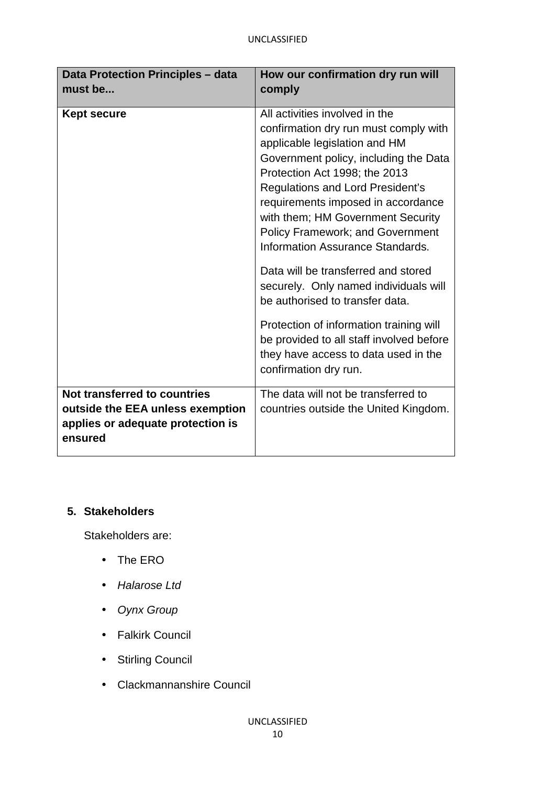| Data Protection Principles - data<br>must be                                                                     | How our confirmation dry run will<br>comply                                                                                                                                                                                                                                                                                                                                             |
|------------------------------------------------------------------------------------------------------------------|-----------------------------------------------------------------------------------------------------------------------------------------------------------------------------------------------------------------------------------------------------------------------------------------------------------------------------------------------------------------------------------------|
| <b>Kept secure</b>                                                                                               | All activities involved in the<br>confirmation dry run must comply with<br>applicable legislation and HM<br>Government policy, including the Data<br>Protection Act 1998; the 2013<br><b>Regulations and Lord President's</b><br>requirements imposed in accordance<br>with them; HM Government Security<br><b>Policy Framework; and Government</b><br>Information Assurance Standards. |
|                                                                                                                  | Data will be transferred and stored<br>securely. Only named individuals will<br>be authorised to transfer data.                                                                                                                                                                                                                                                                         |
|                                                                                                                  | Protection of information training will<br>be provided to all staff involved before<br>they have access to data used in the<br>confirmation dry run.                                                                                                                                                                                                                                    |
| Not transferred to countries<br>outside the EEA unless exemption<br>applies or adequate protection is<br>ensured | The data will not be transferred to<br>countries outside the United Kingdom.                                                                                                                                                                                                                                                                                                            |

# **5. Stakeholders**

Stakeholders are:

- The ERO
- Halarose Ltd
- Oynx Group
- Falkirk Council
- Stirling Council
- Clackmannanshire Council